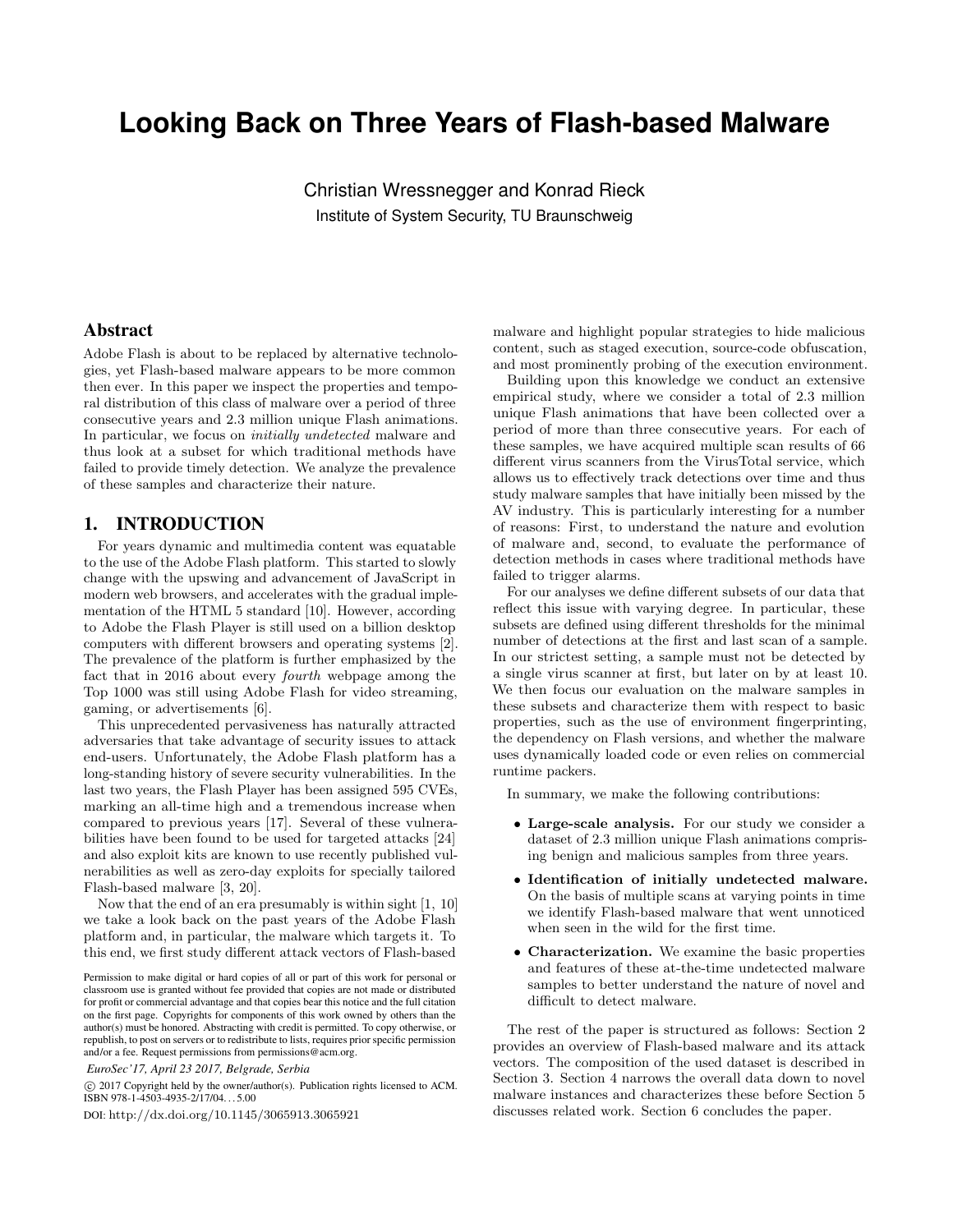# **Looking Back on Three Years of Flash-based Malware**

Christian Wressnegger and Konrad Rieck Institute of System Security, TU Braunschweig

# Abstract

Adobe Flash is about to be replaced by alternative technologies, yet Flash-based malware appears to be more common then ever. In this paper we inspect the properties and temporal distribution of this class of malware over a period of three consecutive years and 2.3 million unique Flash animations. In particular, we focus on initially undetected malware and thus look at a subset for which traditional methods have failed to provide timely detection. We analyze the prevalence of these samples and characterize their nature.

## 1. INTRODUCTION

For years dynamic and multimedia content was equatable to the use of the Adobe Flash platform. This started to slowly change with the upswing and advancement of JavaScript in modern web browsers, and accelerates with the gradual implementation of the HTML 5 standard [\[10\]](#page-5-0). However, according to Adobe the Flash Player is still used on a billion desktop computers with different browsers and operating systems [\[2\]](#page-5-1). The prevalence of the platform is further emphasized by the fact that in 2016 about every fourth webpage among the Top 1000 was still using Adobe Flash for video streaming, gaming, or advertisements [\[6\]](#page-5-2).

This unprecedented pervasiveness has naturally attracted adversaries that take advantage of security issues to attack end-users. Unfortunately, the Adobe Flash platform has a long-standing history of severe security vulnerabilities. In the last two years, the Flash Player has been assigned 595 CVEs, marking an all-time high and a tremendous increase when compared to previous years [\[17\]](#page-5-3). Several of these vulnerabilities have been found to be used for targeted attacks [\[24\]](#page-5-4) and also exploit kits are known to use recently published vulnerabilities as well as zero-day exploits for specially tailored Flash-based malware [\[3,](#page-5-5) [20\]](#page-5-6).

Now that the end of an era presumably is within sight [\[1,](#page-5-7) [10\]](#page-5-0) we take a look back on the past years of the Adobe Flash platform and, in particular, the malware which targets it. To this end, we first study different attack vectors of Flash-based

 c 2017 Copyright held by the owner/author(s). Publication rights licensed to ACM. ISBN 978-1-4503-4935-2/17/04. . . 5.00

DOI: <http://dx.doi.org/10.1145/3065913.3065921>

malware and highlight popular strategies to hide malicious content, such as staged execution, source-code obfuscation, and most prominently probing of the execution environment.

Building upon this knowledge we conduct an extensive empirical study, where we consider a total of 2.3 million unique Flash animations that have been collected over a period of more than three consecutive years. For each of these samples, we have acquired multiple scan results of 66 different virus scanners from the VirusTotal service, which allows us to effectively track detections over time and thus study malware samples that have initially been missed by the AV industry. This is particularly interesting for a number of reasons: First, to understand the nature and evolution of malware and, second, to evaluate the performance of detection methods in cases where traditional methods have failed to trigger alarms.

For our analyses we define different subsets of our data that reflect this issue with varying degree. In particular, these subsets are defined using different thresholds for the minimal number of detections at the first and last scan of a sample. In our strictest setting, a sample must not be detected by a single virus scanner at first, but later on by at least 10. We then focus our evaluation on the malware samples in these subsets and characterize them with respect to basic properties, such as the use of environment fingerprinting, the dependency on Flash versions, and whether the malware uses dynamically loaded code or even relies on commercial runtime packers.

In summary, we make the following contributions:

- Large-scale analysis. For our study we consider a dataset of 2.3 million unique Flash animations comprising benign and malicious samples from three years.
- Identification of initially undetected malware. On the basis of multiple scans at varying points in time we identify Flash-based malware that went unnoticed when seen in the wild for the first time.
- Characterization. We examine the basic properties and features of these at-the-time undetected malware samples to better understand the nature of novel and difficult to detect malware.

The rest of the paper is structured as follows: [Section 2](#page-1-0) provides an overview of Flash-based malware and its attack vectors. The composition of the used dataset is described in [Section 3.](#page-2-0) [Section 4](#page-3-0) narrows the overall data down to novel malware instances and characterizes these before [Section 5](#page-4-0) discusses related work. [Section 6](#page-5-8) concludes the paper.

Permission to make digital or hard copies of all or part of this work for personal or classroom use is granted without fee provided that copies are not made or distributed for profit or commercial advantage and that copies bear this notice and the full citation on the first page. Copyrights for components of this work owned by others than the author(s) must be honored. Abstracting with credit is permitted. To copy otherwise, or republish, to post on servers or to redistribute to lists, requires prior specific permission and/or a fee. Request permissions from permissions@acm.org.

*EuroSec'17, April 23 2017, Belgrade, Serbia*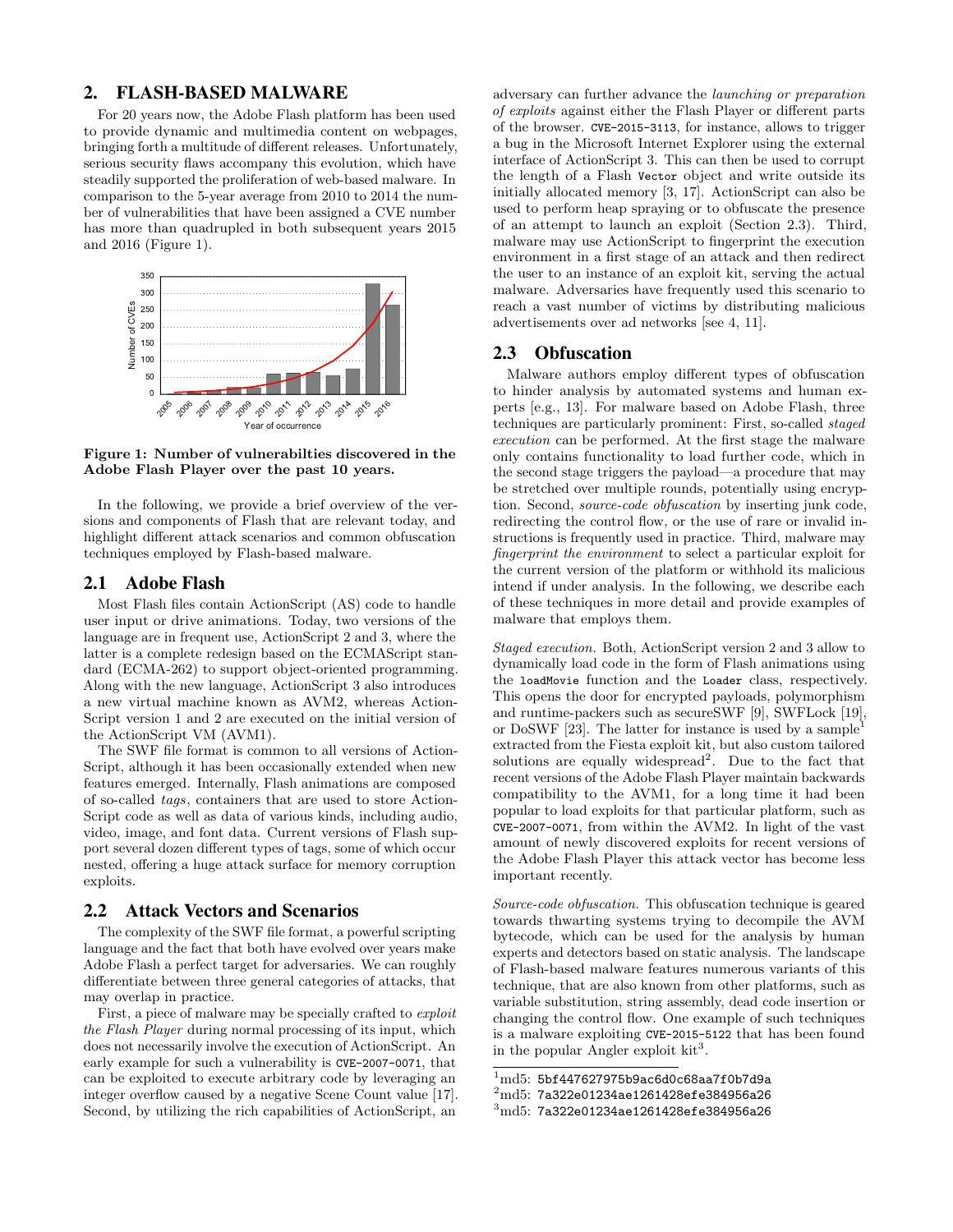# <span id="page-1-0"></span>2. FLASH-BASED MALWARE

For 20 years now, the Adobe Flash platform has been used to provide dynamic and multimedia content on webpages, bringing forth a multitude of different releases. Unfortunately, serious security flaws accompany this evolution, which have steadily supported the proliferation of web-based malware. In comparison to the 5-year average from 2010 to 2014 the number of vulnerabilities that have been assigned a CVE number has more than quadrupled in both subsequent years 2015 and 2016 [\(Figure 1\)](#page-1-1).

<span id="page-1-1"></span>

Figure 1: Number of vulnerabilties discovered in the Adobe Flash Player over the past 10 years.

In the following, we provide a brief overview of the versions and components of Flash that are relevant today, and highlight different attack scenarios and common obfuscation techniques employed by Flash-based malware.

### 2.1 Adobe Flash

Most Flash files contain ActionScript (AS) code to handle user input or drive animations. Today, two versions of the language are in frequent use, ActionScript 2 and 3, where the latter is a complete redesign based on the ECMAScript standard (ECMA-262) to support object-oriented programming. Along with the new language, ActionScript 3 also introduces a new virtual machine known as AVM2, whereas Action-Script version 1 and 2 are executed on the initial version of the ActionScript VM (AVM1).

The SWF file format is common to all versions of Action-Script, although it has been occasionally extended when new features emerged. Internally, Flash animations are composed of so-called tags, containers that are used to store Action-Script code as well as data of various kinds, including audio, video, image, and font data. Current versions of Flash support several dozen different types of tags, some of which occur nested, offering a huge attack surface for memory corruption exploits.

#### 2.2 Attack Vectors and Scenarios

The complexity of the SWF file format, a powerful scripting language and the fact that both have evolved over years make Adobe Flash a perfect target for adversaries. We can roughly differentiate between three general categories of attacks, that may overlap in practice.

First, a piece of malware may be specially crafted to *exploit* the Flash Player during normal processing of its input, which does not necessarily involve the execution of ActionScript. An early example for such a vulnerability is CVE-2007-0071, that can be exploited to execute arbitrary code by leveraging an integer overflow caused by a negative Scene Count value [\[17\]](#page-5-3). Second, by utilizing the rich capabilities of ActionScript, an adversary can further advance the launching or preparation of exploits against either the Flash Player or different parts of the browser. CVE-2015-3113, for instance, allows to trigger a bug in the Microsoft Internet Explorer using the external interface of ActionScript 3. This can then be used to corrupt the length of a Flash Vector object and write outside its initially allocated memory [\[3,](#page-5-5) [17\]](#page-5-3). ActionScript can also be used to perform heap spraying or to obfuscate the presence of an attempt to launch an exploit [\(Section 2.3\)](#page-1-2). Third, malware may use ActionScript to fingerprint the execution environment in a first stage of an attack and then redirect the user to an instance of an exploit kit, serving the actual malware. Adversaries have frequently used this scenario to reach a vast number of victims by distributing malicious advertisements over ad networks [see [4,](#page-5-9) [11\]](#page-5-10).

#### <span id="page-1-2"></span>2.3 Obfuscation

Malware authors employ different types of obfuscation to hinder analysis by automated systems and human experts [e.g., [13\]](#page-5-11). For malware based on Adobe Flash, three techniques are particularly prominent: First, so-called staged execution can be performed. At the first stage the malware only contains functionality to load further code, which in the second stage triggers the payload—a procedure that may be stretched over multiple rounds, potentially using encryption. Second, source-code obfuscation by inserting junk code, redirecting the control flow, or the use of rare or invalid instructions is frequently used in practice. Third, malware may fingerprint the environment to select a particular exploit for the current version of the platform or withhold its malicious intend if under analysis. In the following, we describe each of these techniques in more detail and provide examples of malware that employs them.

Staged execution. Both, ActionScript version 2 and 3 allow to dynamically load code in the form of Flash animations using the loadMovie function and the Loader class, respectively. This opens the door for encrypted payloads, polymorphism and runtime-packers such as secureSWF [\[9\]](#page-5-12), SWFLock [\[19\]](#page-5-13), or DoSWF [\[23\]](#page-5-14). The latter for instance is used by a sample extracted from the Fiesta exploit kit, but also custom tailored solutions are equally widespread<sup>[2](#page-1-4)</sup>. Due to the fact that recent versions of the Adobe Flash Player maintain backwards compatibility to the AVM1, for a long time it had been popular to load exploits for that particular platform, such as CVE-2007-0071, from within the AVM2. In light of the vast amount of newly discovered exploits for recent versions of the Adobe Flash Player this attack vector has become less important recently.

Source-code obfuscation. This obfuscation technique is geared towards thwarting systems trying to decompile the AVM bytecode, which can be used for the analysis by human experts and detectors based on static analysis. The landscape of Flash-based malware features numerous variants of this technique, that are also known from other platforms, such as variable substitution, string assembly, dead code insertion or changing the control flow. One example of such techniques is a malware exploiting CVE-2015-5122 that has been found in the popular Angler exploit kit<sup>[3](#page-1-5)</sup>.

<span id="page-1-3"></span> $1 \text{md5:}$  5bf447627975b9ac6d0c68aa7f0b7d9a

<span id="page-1-5"></span><span id="page-1-4"></span> $^{2}$ md5: 7a322e01234ae1261428efe384956a26

<sup>3</sup>md5: 7a322e01234ae1261428efe384956a26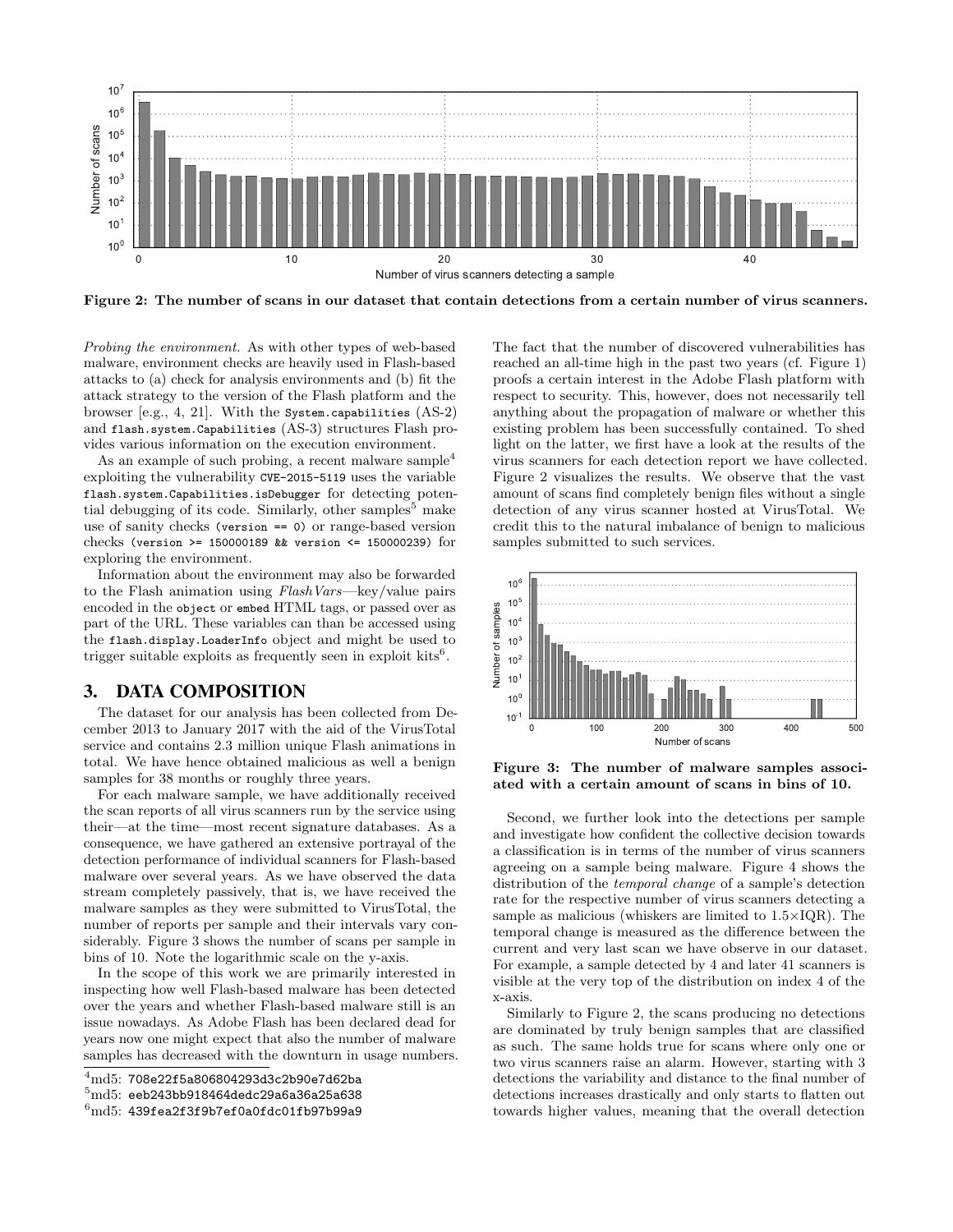<span id="page-2-5"></span>

Figure 2: The number of scans in our dataset that contain detections from a certain number of virus scanners.

Probing the environment. As with other types of web-based malware, environment checks are heavily used in Flash-based attacks to (a) check for analysis environments and (b) fit the attack strategy to the version of the Flash platform and the browser [e.g., [4,](#page-5-9) [21\]](#page-5-15). With the System.capabilities (AS-2) and flash.system.Capabilities (AS-3) structures Flash provides various information on the execution environment.

As an example of such probing, a recent malware sample<sup>[4](#page-2-1)</sup> exploiting the vulnerability CVE-2015-5119 uses the variable flash.system.Capabilities.isDebugger for detecting poten-tial debugging of its code. Similarly, other samples<sup>[5](#page-2-2)</sup> make use of sanity checks (version == 0) or range-based version checks (version >= 150000189 && version <= 150000239) for exploring the environment.

Information about the environment may also be forwarded to the Flash animation using FlashVars—key/value pairs encoded in the object or embed HTML tags, or passed over as part of the URL. These variables can than be accessed using the flash.display.LoaderInfo object and might be used to trigger suitable exploits as frequently seen in exploit kits<sup>[6](#page-2-3)</sup>.

# <span id="page-2-0"></span>3. DATA COMPOSITION

The dataset for our analysis has been collected from December 2013 to January 2017 with the aid of the VirusTotal service and contains 2.3 million unique Flash animations in total. We have hence obtained malicious as well a benign samples for 38 months or roughly three years.

For each malware sample, we have additionally received the scan reports of all virus scanners run by the service using their—at the time—most recent signature databases. As a consequence, we have gathered an extensive portrayal of the detection performance of individual scanners for Flash-based malware over several years. As we have observed the data stream completely passively, that is, we have received the malware samples as they were submitted to VirusTotal, the number of reports per sample and their intervals vary considerably. [Figure 3](#page-2-4) shows the number of scans per sample in bins of 10. Note the logarithmic scale on the y-axis.

In the scope of this work we are primarily interested in inspecting how well Flash-based malware has been detected over the years and whether Flash-based malware still is an issue nowadays. As Adobe Flash has been declared dead for years now one might expect that also the number of malware samples has decreased with the downturn in usage numbers. The fact that the number of discovered vulnerabilities has reached an all-time high in the past two years (cf. [Figure 1\)](#page-1-1) proofs a certain interest in the Adobe Flash platform with respect to security. This, however, does not necessarily tell anything about the propagation of malware or whether this existing problem has been successfully contained. To shed light on the latter, we first have a look at the results of the virus scanners for each detection report we have collected. [Figure 2](#page-2-5) visualizes the results. We observe that the vast amount of scans find completely benign files without a single detection of any virus scanner hosted at VirusTotal. We credit this to the natural imbalance of benign to malicious samples submitted to such services.

<span id="page-2-4"></span>

Figure 3: The number of malware samples associated with a certain amount of scans in bins of 10.

Second, we further look into the detections per sample and investigate how confident the collective decision towards a classification is in terms of the number of virus scanners agreeing on a sample being malware. [Figure 4](#page-3-1) shows the distribution of the temporal change of a sample's detection rate for the respective number of virus scanners detecting a sample as malicious (whiskers are limited to  $1.5 \times IQR$ ). The temporal change is measured as the difference between the current and very last scan we have observe in our dataset. For example, a sample detected by 4 and later 41 scanners is visible at the very top of the distribution on index 4 of the x-axis.

Similarly to [Figure 2,](#page-2-5) the scans producing no detections are dominated by truly benign samples that are classified as such. The same holds true for scans where only one or two virus scanners raise an alarm. However, starting with 3 detections the variability and distance to the final number of detections increases drastically and only starts to flatten out towards higher values, meaning that the overall detection

<span id="page-2-1"></span> $^{4}$ md5: 708e22f5a806804293d3c2b90e7d62ba

<span id="page-2-2"></span> $^5\rm{md5}$ : eeb243bb918464dedc29a6a36a25a638

<span id="page-2-3"></span> $^6\rm{md5:}$  439fea2f3f9b7ef0a0fdc01fb97b99a9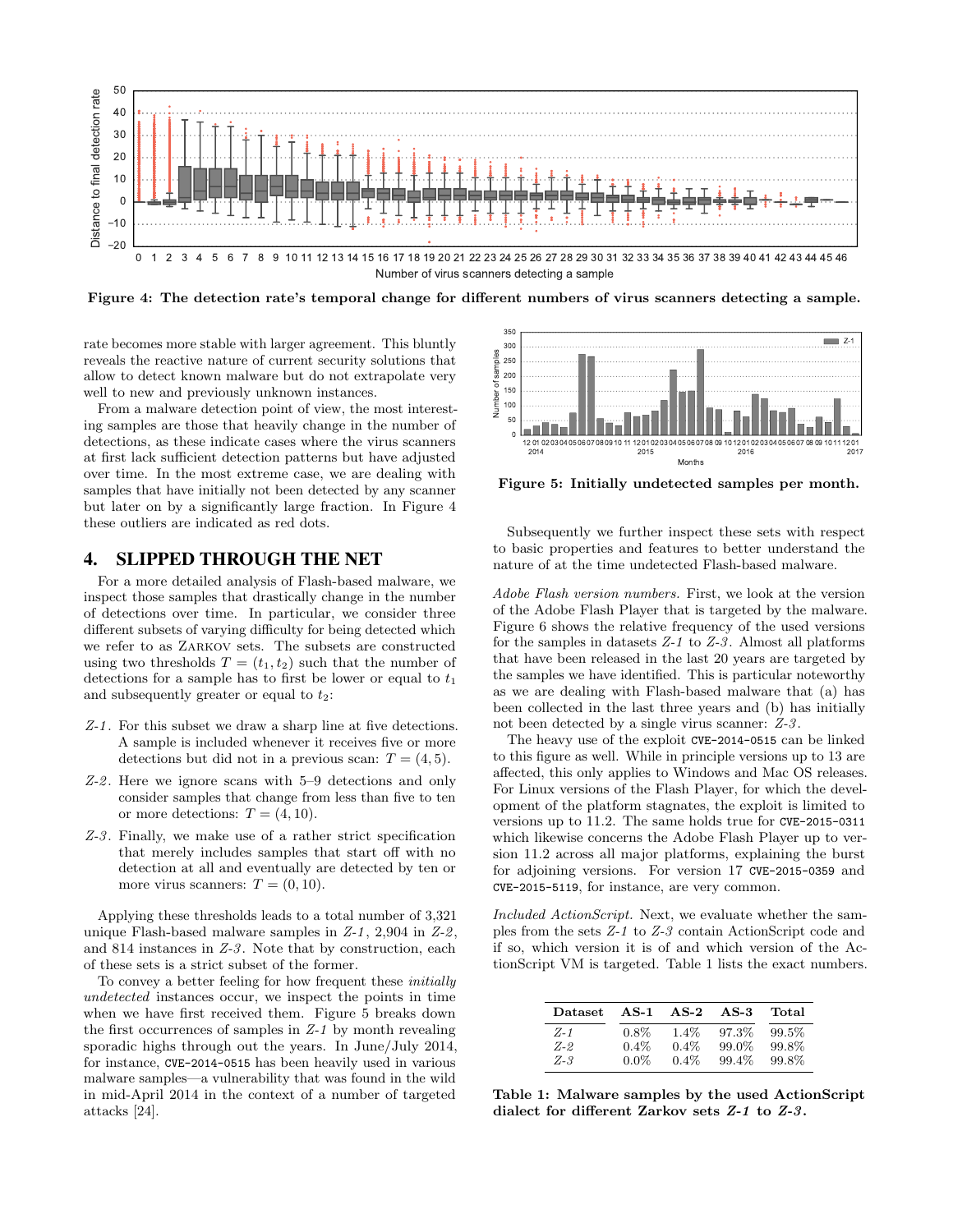<span id="page-3-1"></span>

Figure 4: The detection rate's temporal change for different numbers of virus scanners detecting a sample.

rate becomes more stable with larger agreement. This bluntly reveals the reactive nature of current security solutions that allow to detect known malware but do not extrapolate very well to new and previously unknown instances.

From a malware detection point of view, the most interesting samples are those that heavily change in the number of detections, as these indicate cases where the virus scanners at first lack sufficient detection patterns but have adjusted over time. In the most extreme case, we are dealing with samples that have initially not been detected by any scanner but later on by a significantly large fraction. In [Figure 4](#page-3-1) these outliers are indicated as red dots.

# <span id="page-3-0"></span>4. SLIPPED THROUGH THE NET

For a more detailed analysis of Flash-based malware, we inspect those samples that drastically change in the number of detections over time. In particular, we consider three different subsets of varying difficulty for being detected which we refer to as Zarkov sets. The subsets are constructed using two thresholds  $T = (t_1, t_2)$  such that the number of detections for a sample has to first be lower or equal to  $t_1$ and subsequently greater or equal to  $t_2$ :

- $Z-1$ . For this subset we draw a sharp line at five detections. A sample is included whenever it receives five or more detections but did not in a previous scan:  $T = (4, 5)$ .
- Z-2 . Here we ignore scans with 5–9 detections and only consider samples that change from less than five to ten or more detections:  $T = (4, 10)$ .
- Z-3 . Finally, we make use of a rather strict specification that merely includes samples that start off with no detection at all and eventually are detected by ten or more virus scanners:  $T = (0, 10)$ .

Applying these thresholds leads to a total number of 3,321 unique Flash-based malware samples in  $Z-1$ , 2,904 in  $Z-2$ , and 814 instances in Z-3 . Note that by construction, each of these sets is a strict subset of the former.

To convey a better feeling for how frequent these initially undetected instances occur, we inspect the points in time when we have first received them. [Figure 5](#page-3-2) breaks down the first occurrences of samples in Z-1 by month revealing sporadic highs through out the years. In June/July 2014, for instance, CVE-2014-0515 has been heavily used in various malware samples—a vulnerability that was found in the wild in mid-April 2014 in the context of a number of targeted attacks [\[24\]](#page-5-4).

<span id="page-3-2"></span>

Figure 5: Initially undetected samples per month.

Subsequently we further inspect these sets with respect to basic properties and features to better understand the nature of at the time undetected Flash-based malware.

Adobe Flash version numbers. First, we look at the version of the Adobe Flash Player that is targeted by the malware. [Figure 6](#page-4-1) shows the relative frequency of the used versions for the samples in datasets  $Z-1$  to  $Z-3$ . Almost all platforms that have been released in the last 20 years are targeted by the samples we have identified. This is particular noteworthy as we are dealing with Flash-based malware that (a) has been collected in the last three years and (b) has initially not been detected by a single virus scanner: Z-3 .

The heavy use of the exploit CVE-2014-0515 can be linked to this figure as well. While in principle versions up to 13 are affected, this only applies to Windows and Mac OS releases. For Linux versions of the Flash Player, for which the development of the platform stagnates, the exploit is limited to versions up to 11.2. The same holds true for CVE-2015-0311 which likewise concerns the Adobe Flash Player up to version 11.2 across all major platforms, explaining the burst for adjoining versions. For version 17 CVE-2015-0359 and CVE-2015-5119, for instance, are very common.

Included ActionScript. Next, we evaluate whether the samples from the sets Z-1 to Z-3 contain ActionScript code and if so, which version it is of and which version of the ActionScript VM is targeted. [Table 1](#page-3-3) lists the exact numbers.

<span id="page-3-3"></span>

| Dataset | $AS-1$  | $AS-2$  | $AS-3$   | Total |
|---------|---------|---------|----------|-------|
| Z-1     | $0.8\%$ | $1.4\%$ | 97.3%    | 99.5% |
| $Z - 2$ | $0.4\%$ | $0.4\%$ | $99.0\%$ | 99.8% |
| Z-3     | $0.0\%$ | $0.4\%$ | 99.4%    | 99.8% |

Table 1: Malware samples by the used ActionScript dialect for different Zarkov sets Z-1 to Z-3.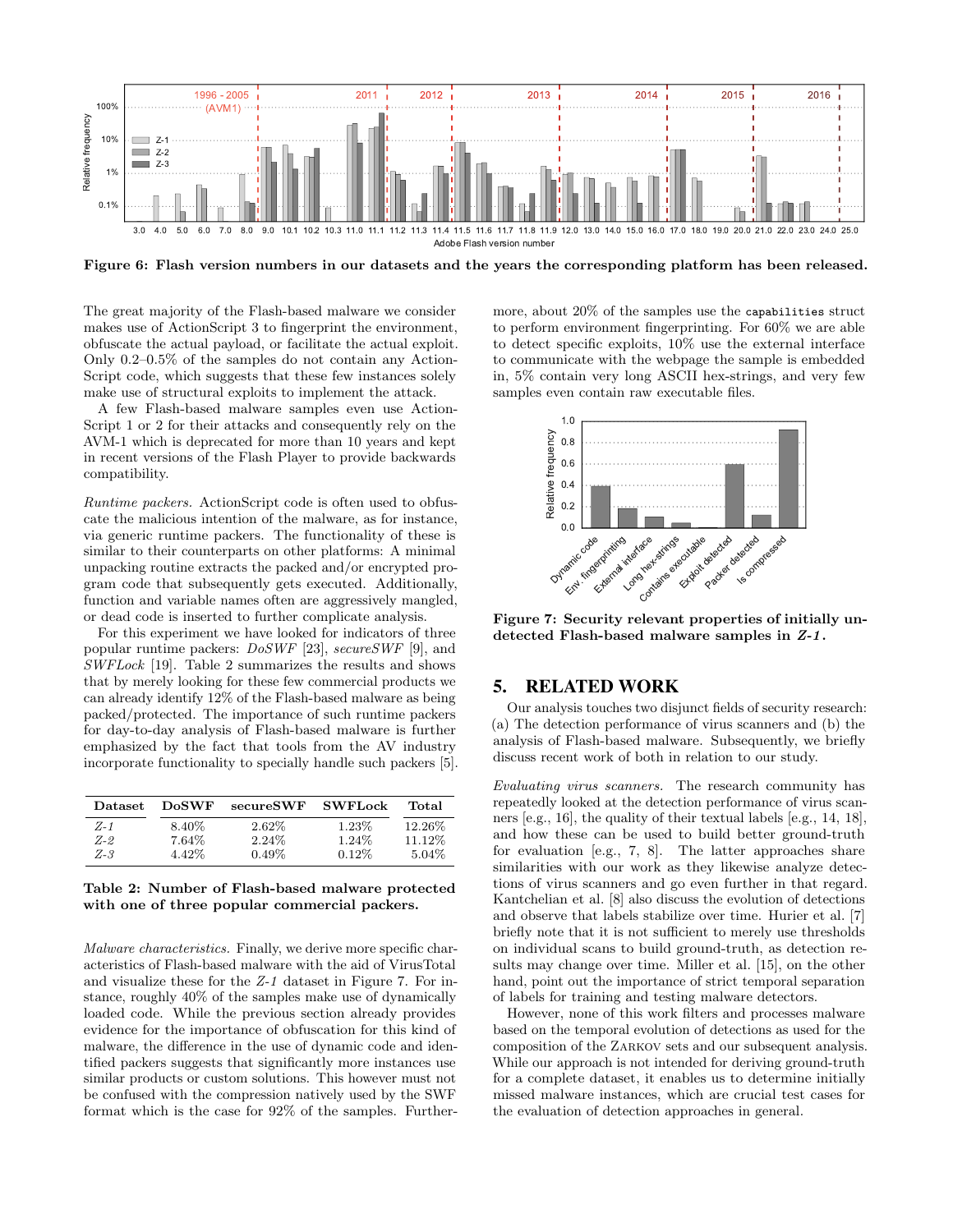<span id="page-4-1"></span>

Figure 6: Flash version numbers in our datasets and the years the corresponding platform has been released.

The great majority of the Flash-based malware we consider makes use of ActionScript 3 to fingerprint the environment, obfuscate the actual payload, or facilitate the actual exploit. Only 0.2–0.5% of the samples do not contain any Action-Script code, which suggests that these few instances solely make use of structural exploits to implement the attack.

A few Flash-based malware samples even use Action-Script 1 or 2 for their attacks and consequently rely on the AVM-1 which is deprecated for more than 10 years and kept in recent versions of the Flash Player to provide backwards compatibility.

Runtime packers. ActionScript code is often used to obfuscate the malicious intention of the malware, as for instance, via generic runtime packers. The functionality of these is similar to their counterparts on other platforms: A minimal unpacking routine extracts the packed and/or encrypted program code that subsequently gets executed. Additionally, function and variable names often are aggressively mangled, or dead code is inserted to further complicate analysis.

For this experiment we have looked for indicators of three popular runtime packers:  $DoSWF$  [\[23\]](#page-5-14),  $secureSWF$  [\[9\]](#page-5-12), and SWFLock [\[19\]](#page-5-13). [Table 2](#page-4-2) summarizes the results and shows that by merely looking for these few commercial products we can already identify 12% of the Flash-based malware as being packed/protected. The importance of such runtime packers for day-to-day analysis of Flash-based malware is further emphasized by the fact that tools from the AV industry incorporate functionality to specially handle such packers [\[5\]](#page-5-16).

<span id="page-4-2"></span>

| Dataset        | DoSWF            | $\rm{secureSWF}$ | <b>SWFLock</b>  | Total            |
|----------------|------------------|------------------|-----------------|------------------|
| $Z - 1$<br>Z-2 | 8.40\%<br>7.64\% | 2.62%<br>2.24\%  | 1.23%<br>1.24\% | 12.26%<br>11.12% |
| $Z - 3$        | 4.42\%           | $0.49\%$         | 0.12%           | 5.04\%           |

Table 2: Number of Flash-based malware protected with one of three popular commercial packers.

Malware characteristics. Finally, we derive more specific characteristics of Flash-based malware with the aid of VirusTotal and visualize these for the Z-1 dataset in [Figure 7.](#page-4-3) For instance, roughly 40% of the samples make use of dynamically loaded code. While the previous section already provides evidence for the importance of obfuscation for this kind of malware, the difference in the use of dynamic code and identified packers suggests that significantly more instances use similar products or custom solutions. This however must not be confused with the compression natively used by the SWF format which is the case for 92% of the samples. Further-

more, about 20% of the samples use the capabilities struct to perform environment fingerprinting. For 60% we are able to detect specific exploits, 10% use the external interface to communicate with the webpage the sample is embedded in, 5% contain very long ASCII hex-strings, and very few samples even contain raw executable files.

<span id="page-4-3"></span>

Figure 7: Security relevant properties of initially undetected Flash-based malware samples in Z-1.

# <span id="page-4-0"></span>5. RELATED WORK

Our analysis touches two disjunct fields of security research: (a) The detection performance of virus scanners and (b) the analysis of Flash-based malware. Subsequently, we briefly discuss recent work of both in relation to our study.

Evaluating virus scanners. The research community has repeatedly looked at the detection performance of virus scanners [e.g., [16\]](#page-5-17), the quality of their textual labels [e.g., [14,](#page-5-18) [18\]](#page-5-19), and how these can be used to build better ground-truth for evaluation [e.g., [7,](#page-5-20) [8\]](#page-5-21). The latter approaches share similarities with our work as they likewise analyze detections of virus scanners and go even further in that regard. Kantchelian et al. [\[8\]](#page-5-21) also discuss the evolution of detections and observe that labels stabilize over time. Hurier et al. [\[7\]](#page-5-20) briefly note that it is not sufficient to merely use thresholds on individual scans to build ground-truth, as detection results may change over time. Miller et al. [\[15\]](#page-5-22), on the other hand, point out the importance of strict temporal separation of labels for training and testing malware detectors.

However, none of this work filters and processes malware based on the temporal evolution of detections as used for the composition of the Zarkov sets and our subsequent analysis. While our approach is not intended for deriving ground-truth for a complete dataset, it enables us to determine initially missed malware instances, which are crucial test cases for the evaluation of detection approaches in general.